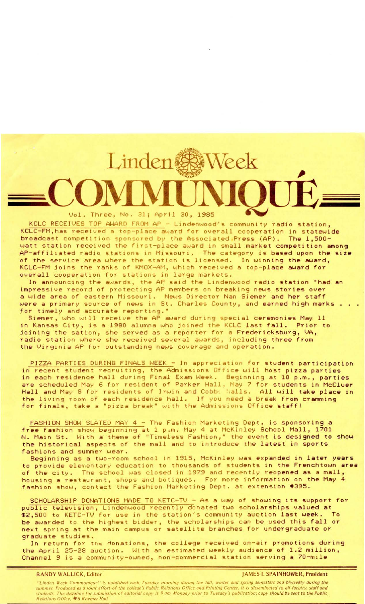Vol. Three, No. 31; April 30, 1985

Linden<sup>(</sup>

KCLC RECEIVES TOP AWARD FROM AP - Lindenwood's community radio station, KCLC-FM, has received a top-place award for overall cooperation in statewide broadcast competition sponsored by the Associated Press (AP). The 1,500watt station received the first-place award in small market competition among AP-affiliated radio stations in Missouri. The category is based upon the size of the service area where the station is licensed. In winning the award, KCLC-FM joins the ranks of KMOX-AM, which received a top-place award for overall cooperation for stations in large markets.

Week

In ann ouncing the awards, the AP said the Lindenwood radio station "had an impressive record of protecting AP members on breaking news stories over a wide area of eastern Missouri. News Director Nan Siemer and her staff were a primary source of news in St. Charles County, and earned high marks for timely and accurate reporting."

Siemer, who will receive the AP award during special ceremonies May 11 in Kansas City, is a 1980 alumna who joined the KCLC last fall. Prior to joining the sation, she served as a reporter for a Fredericksburg, VA, radio station where she received several awards, including three from the Virginia AP for outstanding news coverage and operation.

PIZZA PARTIES DURING FINALS WEEK - In appreciation for student participation in recent student recruiting, the Admissions Office will host pizza parties in recent student recruiting, the Admissions Office will host pizza parties<br>in each residence hall during Final Exam Week. Beginning at 10 p.m., parties are scheduled May 6 for resident of Parker Hall, May 7 for students in McCluer Hall and May 8 for residents of Irwin and Cobbs 'Walls. All will take place in the living room of each residence hall. If you need a break from cramming for finals, take a "pizza break" with the Admissions Office staff!

FASHION SHOW SLATED MAY 4 - The Fashion Marketing Dept. is sponsoring a free fashion show beginning at 1 p.m. May 4 at McKinley School Mall, 1701 N. Main St. With a theme of "Timeless Fashion," the event is designed to show the historical aspects of the mall and to introduce the latest in sports fashions and summer wear.

Beginning as a two-room school in 1915, McKinley was expanded in later years to provide elementary education to thousands of students in the Frenchtown area of the city. The school was closed in 1979 and recently reopened as a mall, housing a restaurant, shops and botiques. For more information on the May 4 fashion show, contact the Fashion Marketing Dept. at extension \*395.

SCHOLARSHIP DONATIONS MADE TO KETC-TV - As a way of showing its support for public television, Lindenwood recently donated two scholarships valued at \$2,500 to KETC-TV for use in the station's community auction last week. To be awar ded to the highest bidder, the scholarships can be used this fall *or*  next spring at the main campus or satellite branches for undergradu ate *or*  graduate studies.

In return for the donations, the April 25-28 auction. With Channel 9 is a community-owned, non-commercial station serving a 70-mile the college received on-air promotions during an estimated weekly audience of 1.2 million,

"Linden Week Communique" is published each Tuesduy morning durinq the fall, winter and spring semesters and biweekly during the summer. Produced as a joint effort of the college's Public Relations Office and Printing Center, it is disseminated to all faculty, staff and students. The deadline for submission of editorial copy is 9 am Monday prior to Tuesday's publication; copy should be sent to the Public Relations Office, #6 Roemer Hall.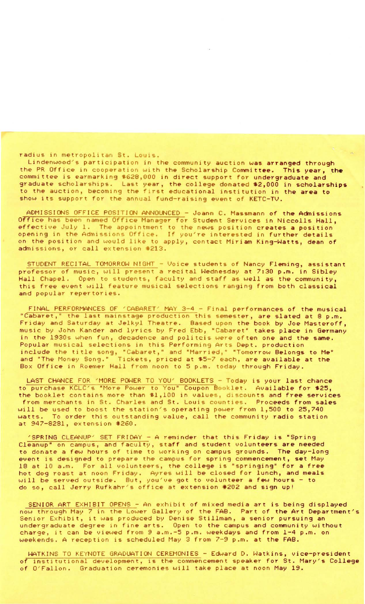## radius in metropolitan St. Louis.

Lindenwood's participation in the community auction was arranged through the PR Office in cooperation with the Scholarship Committee. This year, the committee is earmarking \$628,000 in direct support for undergraduate and graduate scholarships. Last year, the college donated \$2,000 in scholarships to the auction, becoming the first educational institution in the area to show its support for the annual fund-raising event of KETC-TV.

ADMISSIONS OFFICE POSITION ANNOUNCED - Joann C. Massmann of the Admissions Office has been named Office Manager for Student Services in Niccolls Hall, effective July 1. The appointment to the news position creates a position opening in the Admissions Office. If you're interested in further details on the position and would like to apply, contact Miriam King-Watts, dean of admissions, or call extension #213.

STUDENT RECITAL TOMORROW NIGHT - Voice students of Nancy Fleming, assistant professor of music, will present a recital Wednesday at 7:30 p.m. in Sibley Hall Chapel. Open to students, faculty and staff as well as the community, this free event will feature musical selections ranging from both classical and popular repertories.

FINAL PERFORMANCES OF 'CABARET' MAY 3-4 - Final performances of the musical "Cabaret," the last mainstage production this semester, are slated at 8 p.m. Friday and Saturday at Jelkyl Theatre. Based upon the book by Joe Masteroff, music by John Kander and lyrics by Fred Ebb, "Cabaret" takes place in Germany in the 1930s when fun, decadence and politcis were often one and the same. Popular musical selections in this Performing Arts Dept. production include the title song, "Cabaret," and "Married," "Tomorrow Belongs to Me" and "The Money Song." Tickets, priced at \$5-7 each, are available at the Box Office in Roemer Hall from noon to 5 p.m. today through Friday.

LAST CHANCE FOR 'MORE POWER TO YOU' BOOKLETS - Today is your last chance to purchase KCLC's "More Power to You" Coupon Booklet. Available for \$25, the booklet contains more than \$1,100 in values, discounts and free services from merchants in St. Charles and St. Louis counties. Proceeds from sales will be used to boost the station's operating power from 1,500 to 25,740<br>watts. To order this outstanding value, call the community radio station To order this outstanding value, call the community radio station at 947-8281, extension \*260.

'SPR ING CLEANUP ' SET FRIDAY - A reminder that this Friday is "Spring Cleanup" on campus, and faculty, staff and student volunteers are needed to donate a few hours of time to working on campus grounds. The day-long event is designed to prepare the campus for spring commencement, set May 18 at 10 a.m. For all volunteers, the college is "springing" for a free hot dog roast at noon Friday. Ayres will be closed for lunch, and meals will be served outside. But, you've got to volunteer a few hours - to do so, call Jerry Rufkahr's office at extension #202 and sign up!

SENIOR ART EXHIBIT OPENS - An exhibit of mixed media art is being displayed now thro ugh May 7 in the Lower Gallery of the FAB. Part of the Art Department's Now through hay ? In the Lower dailery of the FAB: Fart of the Art Department of the Art Department of the Art Department of the Art Department of the Art Department of the Art Department of the Art Department of the Art D undergraduate degree in fine arts. Open to the campus and community without charge, it can be viewed from 9 a.m.-5 p.m. weekdays and from 1-4 p.m. on weekends. A reception is scheduled May 3 from 7-9 p.m. at the FAB.

WATKINS TO KEYNOTE GRADUATION CEREMONIES - Edward D. Watkins, vice-president of institutional development, is the commencement speaker for St. Mary's College of O'Fallon. Graduation ceremonies will take place at noon May 19.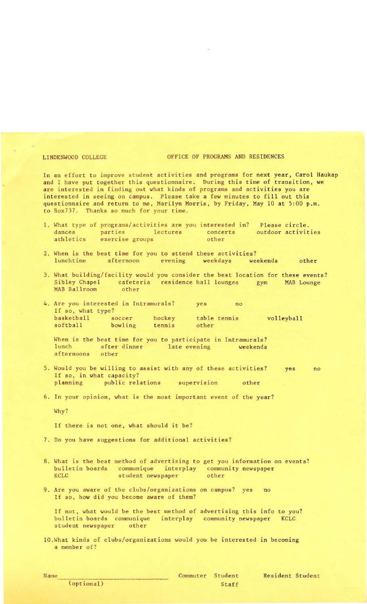## LINDENWOOD COLLEGE OF PROGRAMS AND RESIDENCES

In an effort to improve student activities and programs for next year, Carol Haukap and I have put together this questionnaire. During this time of transition, we are interested in finding out what kinds of programs and activities you are interested in seeing on campus. Please take a few minutes to fill out this questionnaire and return to me, Marilyn Morris, by Friday, May 10 at 5:00 p.m. to Box737. Thanks so much for your time.

- 1. What type of programs/activities are you interested in? Please circle.<br>dances parties lectures concerts outdoor activit outdoor activities athletics exercise groups other
- 2. When is the best time for you to attend these activities?<br>
lunchtime afternoon evening weekdays weekends afternoon evening weekdays weekends other
- 3. What building/facility would you consider the best location for these events?<br>Sibley Chapel cafeteria residence hall lounges gym MAB Lounge residence hall lounges gym MAB Ballroom other
- 4. Are you interested in Intramurals? yes no If so, what type? basketball soccer hockey table tennis<br>softball bowling tennis other other volleyball bowling tennis

When is the best time for you to participate in Intramurals?<br>lunch after dinner late evening weekends after dinner late evening weekends afternoons other

- 5. Would you be willing to assist with any of these activities? If so, in what capacity? planning public relations supervision other yes no
- 6. In your opinion, what is the most important event of the year?

Why?

If there is not one, what should it be?

- 7. Do you have suggestions for additional activities?
- 8. What is the best method of advertising to get you information on events? bulletin boards communique interplay community newspaper KCLC student newspaper other
- 9. Are you aware of the clubs/organizations on campus? yes no If so, how did you become aware of them?

If not, what would be the best method of advertising this info to you? bulletin boards communique interplay community newspaper KCLC student newspaper other

10. What kinds of clubs/organizations would you be interested in becoming a member of?

(optional)

Resident Student